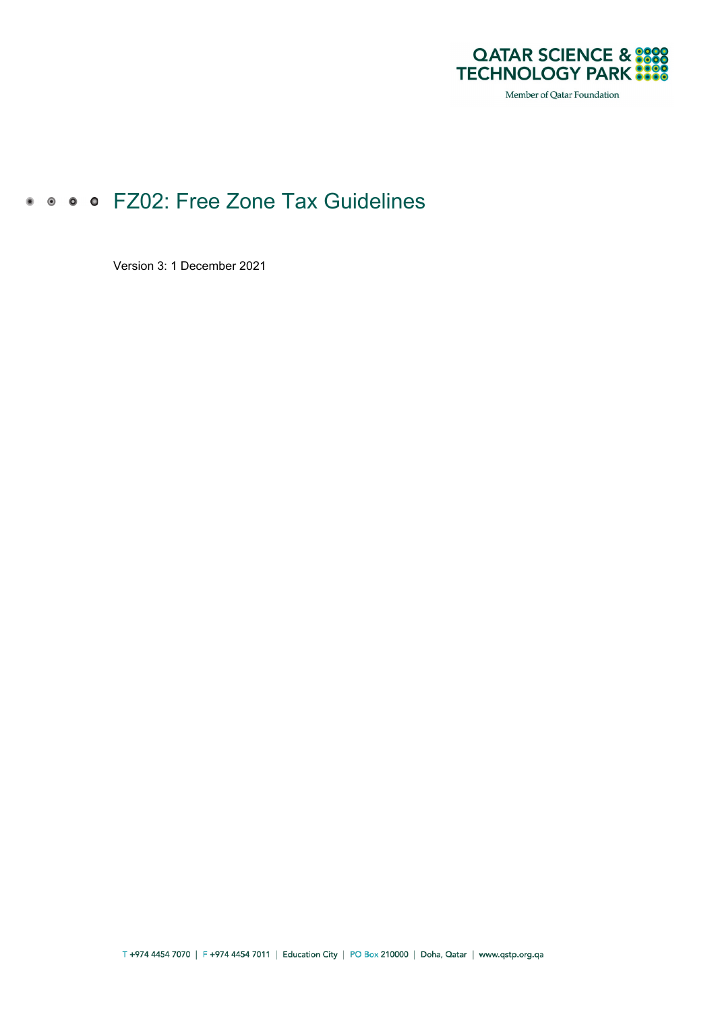

Member of Qatar Foundation

# • • • • FZ02: Free Zone Tax Guidelines

Version 3: 1 December 2021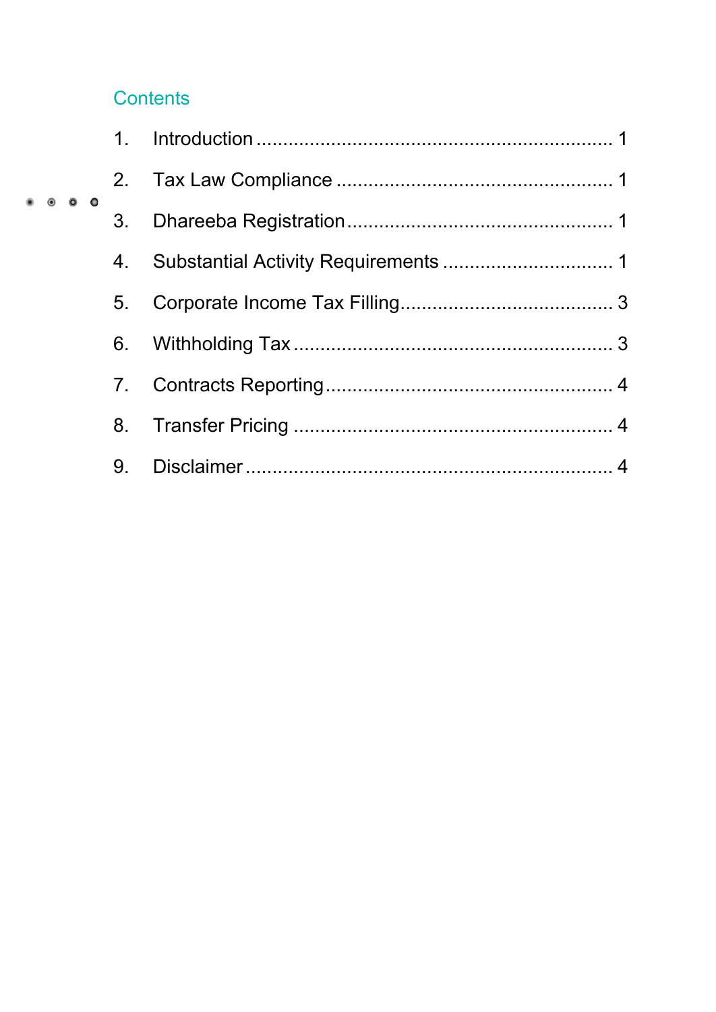## **Contents**

 $\bullet$   $\bullet$ 

| $\bullet$ $\bullet$ |    |  |
|---------------------|----|--|
|                     | 3. |  |
|                     | 4. |  |
|                     | 5. |  |
|                     |    |  |
|                     | 7. |  |
|                     | 8. |  |
|                     |    |  |
|                     |    |  |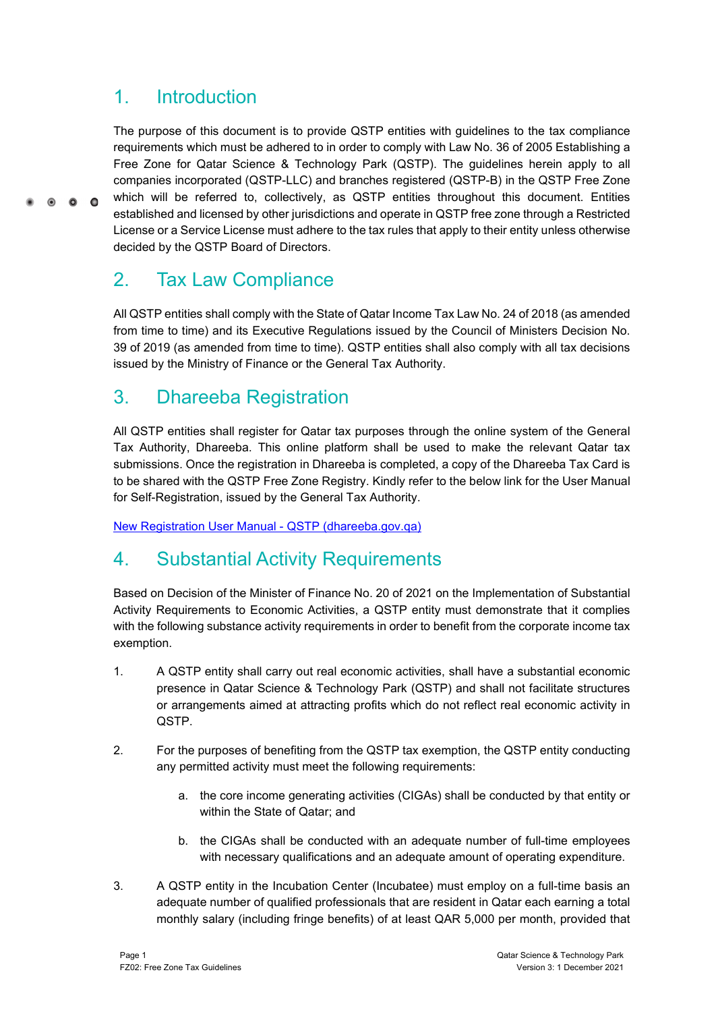#### <span id="page-2-0"></span>1. Introduction

 $\circ$  $\bullet$  $\bullet$ 

The purpose of this document is to provide QSTP entities with guidelines to the tax compliance requirements which must be adhered to in order to comply with Law No. 36 of 2005 Establishing a Free Zone for Qatar Science & Technology Park (QSTP). The guidelines herein apply to all companies incorporated (QSTP-LLC) and branches registered (QSTP-B) in the QSTP Free Zone which will be referred to, collectively, as QSTP entities throughout this document. Entities established and licensed by other jurisdictions and operate in QSTP free zone through a Restricted License or a Service License must adhere to the tax rules that apply to their entity unless otherwise decided by the QSTP Board of Directors.

## <span id="page-2-1"></span>2. Tax Law Compliance

All QSTP entities shall comply with the State of Qatar Income Tax Law No. 24 of 2018 (as amended from time to time) and its Executive Regulations issued by the Council of Ministers Decision No. 39 of 2019 (as amended from time to time). QSTP entities shall also comply with all tax decisions issued by the Ministry of Finance or the General Tax Authority.

### <span id="page-2-2"></span>3. Dhareeba Registration

All QSTP entities shall register for Qatar tax purposes through the online system of the General Tax Authority, Dhareeba. This online platform shall be used to make the relevant Qatar tax submissions. Once the registration in Dhareeba is completed, a copy of the Dhareeba Tax Card is to be shared with the QSTP Free Zone Registry. Kindly refer to the below link for the User Manual for Self-Registration, issued by the General Tax Authority.

[New Registration User Manual -](https://dhareeba.gov.qa/sap/bc/ui5_ui5/sap/zmcf_welcome/UMDoc/RegistrationQSTP.pdf) QSTP (dhareeba.gov.qa)

### <span id="page-2-3"></span>4. Substantial Activity Requirements

Based on Decision of the Minister of Finance No. 20 of 2021 on the Implementation of Substantial Activity Requirements to Economic Activities, a QSTP entity must demonstrate that it complies with the following substance activity requirements in order to benefit from the corporate income tax exemption.

- 1. A QSTP entity shall carry out real economic activities, shall have a substantial economic presence in Qatar Science & Technology Park (QSTP) and shall not facilitate structures or arrangements aimed at attracting profits which do not reflect real economic activity in QSTP.
- 2. For the purposes of benefiting from the QSTP tax exemption, the QSTP entity conducting any permitted activity must meet the following requirements:
	- a. the core income generating activities (CIGAs) shall be conducted by that entity or within the State of Qatar; and
	- b. the CIGAs shall be conducted with an adequate number of full-time employees with necessary qualifications and an adequate amount of operating expenditure.
- 3. A QSTP entity in the Incubation Center (Incubatee) must employ on a full-time basis an adequate number of qualified professionals that are resident in Qatar each earning a total monthly salary (including fringe benefits) of at least QAR 5,000 per month, provided that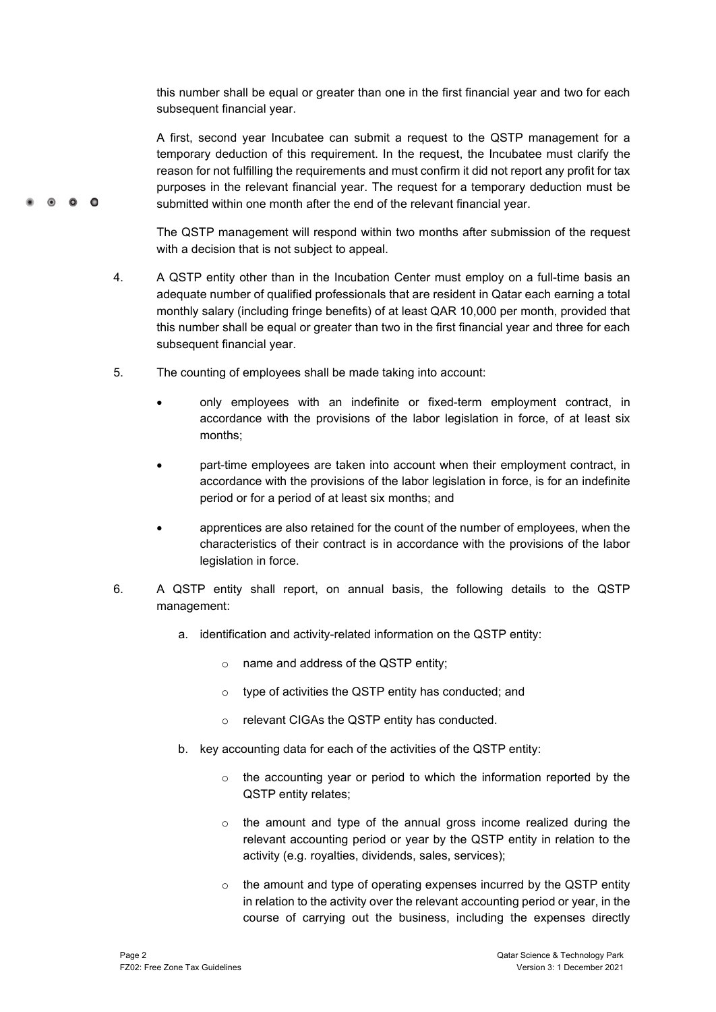this number shall be equal or greater than one in the first financial year and two for each subsequent financial year.

A first, second year Incubatee can submit a request to the QSTP management for a temporary deduction of this requirement. In the request, the Incubatee must clarify the reason for not fulfilling the requirements and must confirm it did not report any profit for tax purposes in the relevant financial year. The request for a temporary deduction must be submitted within one month after the end of the relevant financial year.

The QSTP management will respond within two months after submission of the request with a decision that is not subject to appeal.

- 4. A QSTP entity other than in the Incubation Center must employ on a full-time basis an adequate number of qualified professionals that are resident in Qatar each earning a total monthly salary (including fringe benefits) of at least QAR 10,000 per month, provided that this number shall be equal or greater than two in the first financial year and three for each subsequent financial year.
- 5. The counting of employees shall be made taking into account:
	- only employees with an indefinite or fixed-term employment contract, in accordance with the provisions of the labor legislation in force, of at least six months;
	- part-time employees are taken into account when their employment contract, in accordance with the provisions of the labor legislation in force, is for an indefinite period or for a period of at least six months; and
	- apprentices are also retained for the count of the number of employees, when the characteristics of their contract is in accordance with the provisions of the labor legislation in force.
- 6. A QSTP entity shall report, on annual basis, the following details to the QSTP management:
	- a. identification and activity-related information on the QSTP entity:
		- o name and address of the QSTP entity;
		- o type of activities the QSTP entity has conducted; and
		- o relevant CIGAs the QSTP entity has conducted.
	- b. key accounting data for each of the activities of the QSTP entity:
		- o the accounting year or period to which the information reported by the QSTP entity relates;
		- o the amount and type of the annual gross income realized during the relevant accounting period or year by the QSTP entity in relation to the activity (e.g. royalties, dividends, sales, services);
		- o the amount and type of operating expenses incurred by the QSTP entity in relation to the activity over the relevant accounting period or year, in the course of carrying out the business, including the expenses directly

 $\bullet$   $\bullet$   $\bullet$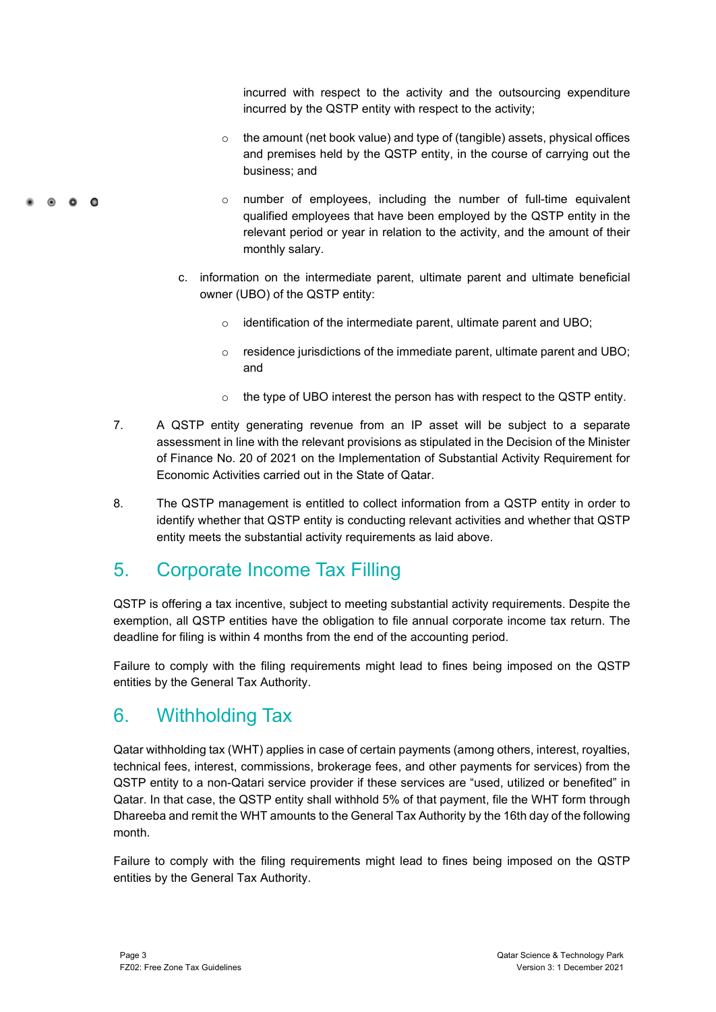incurred with respect to the activity and the outsourcing expenditure incurred by the QSTP entity with respect to the activity;

- o the amount (net book value) and type of (tangible) assets, physical offices and premises held by the QSTP entity, in the course of carrying out the business; and
- o number of employees, including the number of full-time equivalent qualified employees that have been employed by the QSTP entity in the relevant period or year in relation to the activity, and the amount of their monthly salary.
- c. information on the intermediate parent, ultimate parent and ultimate beneficial owner (UBO) of the QSTP entity:
	- o identification of the intermediate parent, ultimate parent and UBO;
	- o residence jurisdictions of the immediate parent, ultimate parent and UBO; and
	- o the type of UBO interest the person has with respect to the QSTP entity.
- 7. A QSTP entity generating revenue from an IP asset will be subject to a separate assessment in line with the relevant provisions as stipulated in the Decision of the Minister of Finance No. 20 of 2021 on the Implementation of Substantial Activity Requirement for Economic Activities carried out in the State of Qatar.
- 8. The QSTP management is entitled to collect information from a QSTP entity in order to identify whether that QSTP entity is conducting relevant activities and whether that QSTP entity meets the substantial activity requirements as laid above.

## <span id="page-4-0"></span>5. Corporate Income Tax Filling

QSTP is offering a tax incentive, subject to meeting substantial activity requirements. Despite the exemption, all QSTP entities have the obligation to file annual corporate income tax return. The deadline for filing is within 4 months from the end of the accounting period.

Failure to comply with the filing requirements might lead to fines being imposed on the QSTP entities by the General Tax Authority.

### <span id="page-4-1"></span>6. Withholding Tax

Qatar withholding tax (WHT) applies in case of certain payments (among others, interest, royalties, technical fees, interest, commissions, brokerage fees, and other payments for services) from the QSTP entity to a non-Qatari service provider if these services are "used, utilized or benefited" in Qatar. In that case, the QSTP entity shall withhold 5% of that payment, file the WHT form through Dhareeba and remit the WHT amounts to the General Tax Authority by the 16th day of the following month.

Failure to comply with the filing requirements might lead to fines being imposed on the QSTP entities by the General Tax Authority.

 $\bullet$   $\bullet$   $\bullet$